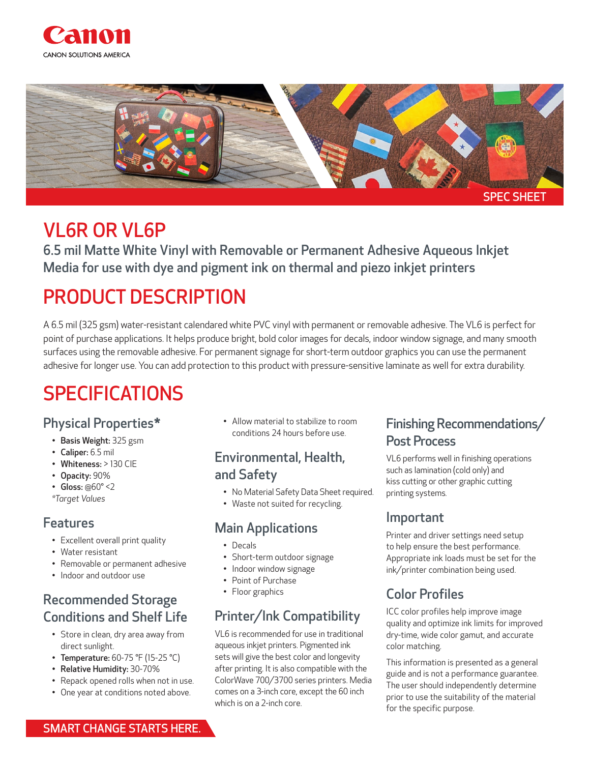



## VL6R OR VL6P

6.5 mil Matte White Vinyl with Removable or Permanent Adhesive Aqueous Inkjet Media for use with dye and pigment ink on thermal and piezo inkjet printers

# PRODUCT DESCRIPTION

A 6.5 mil (325 gsm) water-resistant calendared white PVC vinyl with permanent or removable adhesive. The VL6 is perfect for point of purchase applications. It helps produce bright, bold color images for decals, indoor window signage, and many smooth surfaces using the removable adhesive. For permanent signage for short-term outdoor graphics you can use the permanent adhesive for longer use. You can add protection to this product with pressure-sensitive laminate as well for extra durability.

# SPECIFICATIONS

- Physical Properties\*
	- Basis Weight: 325 gsm
	- Caliper: 6.5 mil
	- Whiteness: > 130 CIE
	- Opacity: 90%
	- Gloss:  $@60° < 2$
	- *\*Target Values*

### Features

- Excellent overall print quality
- Water resistant
- Removable or permanent adhesive
- Indoor and outdoor use

## Recommended Storage Conditions and Shelf Life

- Store in clean, dry area away from direct sunlight.
- Temperature:  $60-75$  °F (15-25 °C)
- Relative Humidity: 30-70%
- Repack opened rolls when not in use.
- One year at conditions noted above.

• Allow material to stabilize to room conditions 24 hours before use.

### Environmental, Health, and Safety

- No Material Safety Data Sheet required.
- Waste not suited for recycling.

### Main Applications

- Decals
- Short-term outdoor signage
- Indoor window signage
- Point of Purchase
- Floor graphics

### Printer/Ink Compatibility

VL6 is recommended for use in traditional aqueous inkjet printers. Pigmented ink sets will give the best color and longevity after printing. It is also compatible with the ColorWave 700/3700 series printers. Media comes on a 3-inch core, except the 60 inch which is on a 2-inch core.

### Finishing Recommendations/ Post Process

VL6 performs well in finishing operations such as lamination (cold only) and kiss cutting or other graphic cutting printing systems*.*

### Important

Printer and driver settings need setup to help ensure the best performance. Appropriate ink loads must be set for the ink/printer combination being used.

## Color Profiles

ICC color profiles help improve image quality and optimize ink limits for improved dry-time, wide color gamut, and accurate color matching.

This information is presented as a general guide and is not a performance guarantee. The user should independently determine prior to use the suitability of the material for the specific purpose.

#### SMART CHANGE STARTS HERE.